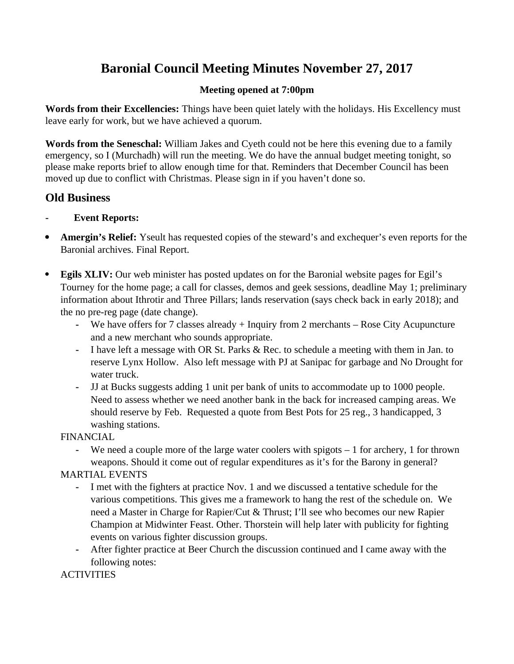# **Baronial Council Meeting Minutes November 27, 2017**

## **Meeting opened at 7:00pm**

**Words from their Excellencies:** Things have been quiet lately with the holidays. His Excellency must leave early for work, but we have achieved a quorum.

**Words from the Seneschal:** William Jakes and Cyeth could not be here this evening due to a family emergency, so I (Murchadh) will run the meeting. We do have the annual budget meeting tonight, so please make reports brief to allow enough time for that. Reminders that December Council has been moved up due to conflict with Christmas. Please sign in if you haven't done so.

## **Old Business**

## **- Event Reports:**

- **Amergin's Relief:** Yseult has requested copies of the steward's and exchequer's even reports for the Baronial archives. Final Report.
- **Egils XLIV:** Our web minister has posted updates on for the Baronial website pages for Egil's Tourney for the home page; a call for classes, demos and geek sessions, deadline May 1; preliminary information about Ithrotir and Three Pillars; lands reservation (says check back in early 2018); and the no pre-reg page (date change).
	- **-** We have offers for 7 classes already + Inquiry from 2 merchants Rose City Acupuncture and a new merchant who sounds appropriate.
	- **-** I have left a message with OR St. Parks & Rec. to schedule a meeting with them in Jan. to reserve Lynx Hollow. Also left message with PJ at Sanipac for garbage and No Drought for water truck.
	- **-** JJ at Bucks suggests adding 1 unit per bank of units to accommodate up to 1000 people. Need to assess whether we need another bank in the back for increased camping areas. We should reserve by Feb. Requested a quote from Best Pots for 25 reg., 3 handicapped, 3 washing stations.

FINANCIAL

**-** We need a couple more of the large water coolers with spigots – 1 for archery, 1 for thrown weapons. Should it come out of regular expenditures as it's for the Barony in general?

## MARTIAL EVENTS

- **-** I met with the fighters at practice Nov. 1 and we discussed a tentative schedule for the various competitions. This gives me a framework to hang the rest of the schedule on. We need a Master in Charge for Rapier/Cut & Thrust; I'll see who becomes our new Rapier Champion at Midwinter Feast. Other. Thorstein will help later with publicity for fighting events on various fighter discussion groups.
- **-** After fighter practice at Beer Church the discussion continued and I came away with the following notes:

**ACTIVITIES**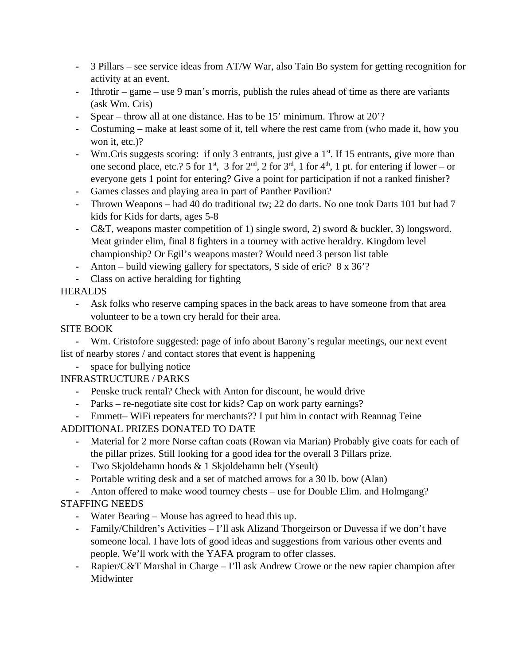- **-** 3 Pillars see service ideas from AT/W War, also Tain Bo system for getting recognition for activity at an event.
- **-** Ithrotir game use 9 man's morris, publish the rules ahead of time as there are variants (ask Wm. Cris)
- **-** Spear throw all at one distance. Has to be 15' minimum. Throw at 20'?
- **-** Costuming make at least some of it, tell where the rest came from (who made it, how you won it, etc.)?
- **-** Wm.Cris suggests scoring: if only 3 entrants, just give a 1st. If 15 entrants, give more than one second place, etc.? 5 for  $1<sup>st</sup>$ , 3 for  $2<sup>nd</sup>$ , 2 for  $3<sup>rd</sup>$ , 1 for  $4<sup>th</sup>$ , 1 pt. for entering if lower – or everyone gets 1 point for entering? Give a point for participation if not a ranked finisher?
- **-** Games classes and playing area in part of Panther Pavilion?
- **-** Thrown Weapons had 40 do traditional tw; 22 do darts. No one took Darts 101 but had 7 kids for Kids for darts, ages 5-8
- **-** C&T, weapons master competition of 1) single sword, 2) sword & buckler, 3) longsword. Meat grinder elim, final 8 fighters in a tourney with active heraldry. Kingdom level championship? Or Egil's weapons master? Would need 3 person list table
- **-** Anton build viewing gallery for spectators, S side of eric? 8 x 36'?
- **-** Class on active heralding for fighting

## **HERALDS**

**-** Ask folks who reserve camping spaces in the back areas to have someone from that area volunteer to be a town cry herald for their area.

## SITE BOOK

**-** Wm. Cristofore suggested: page of info about Barony's regular meetings, our next event list of nearby stores / and contact stores that event is happening

**-** space for bullying notice

## INFRASTRUCTURE / PARKS

- **-** Penske truck rental? Check with Anton for discount, he would drive
- **-** Parks re-negotiate site cost for kids? Cap on work party earnings?
- **-** Emmett– WiFi repeaters for merchants?? I put him in contact with Reannag Teine

## ADDITIONAL PRIZES DONATED TO DATE

- **-** Material for 2 more Norse caftan coats (Rowan via Marian) Probably give coats for each of the pillar prizes. Still looking for a good idea for the overall 3 Pillars prize.
- **-** Two Skjoldehamn hoods & 1 Skjoldehamn belt (Yseult)
- **-** Portable writing desk and a set of matched arrows for a 30 lb. bow (Alan)
- **-** Anton offered to make wood tourney chests use for Double Elim. and Holmgang?

## STAFFING NEEDS

- **-** Water Bearing Mouse has agreed to head this up.
- **-** Family/Children's Activities I'll ask Alizand Thorgeirson or Duvessa if we don't have someone local. I have lots of good ideas and suggestions from various other events and people. We'll work with the YAFA program to offer classes.
- **-** Rapier/C&T Marshal in Charge I'll ask Andrew Crowe or the new rapier champion after Midwinter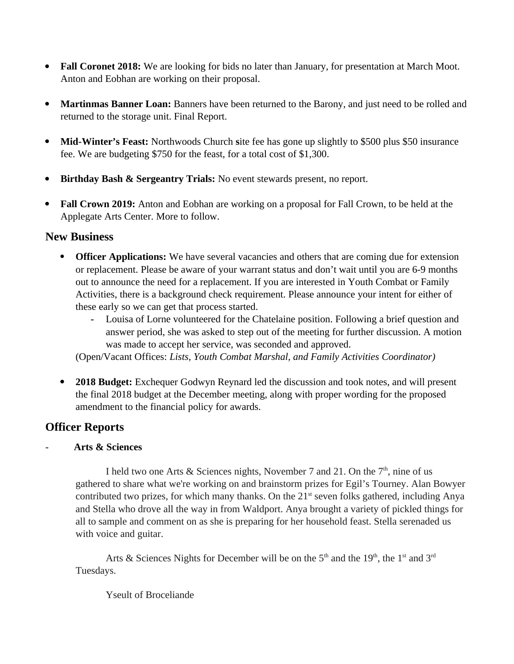- **Fall Coronet 2018:** We are looking for bids no later than January, for presentation at March Moot. Anton and Eobhan are working on their proposal.
- **Martinmas Banner Loan:** Banners have been returned to the Barony, and just need to be rolled and returned to the storage unit. Final Report.
- Mid-Winter's Feast: Northwoods Church site fee has gone up slightly to \$500 plus \$50 insurance fee. We are budgeting \$750 for the feast, for a total cost of \$1,300.
- **Birthday Bash & Sergeantry Trials:** No event stewards present, no report.
- **Fall Crown 2019:** Anton and Eobhan are working on a proposal for Fall Crown, to be held at the Applegate Arts Center. More to follow.

## **New Business**

- **Officer Applications:** We have several vacancies and others that are coming due for extension or replacement. Please be aware of your warrant status and don't wait until you are 6-9 months out to announce the need for a replacement. If you are interested in Youth Combat or Family Activities, there is a background check requirement. Please announce your intent for either of these early so we can get that process started.
	- **-** Louisa of Lorne volunteered for the Chatelaine position. Following a brief question and answer period, she was asked to step out of the meeting for further discussion. A motion was made to accept her service, was seconded and approved.

(Open/Vacant Offices: *Lists, Youth Combat Marshal, and Family Activities Coordinator)*

 **2018 Budget:** Exchequer Godwyn Reynard led the discussion and took notes, and will present the final 2018 budget at the December meeting, along with proper wording for the proposed amendment to the financial policy for awards.

## **Officer Reports**

## - **Arts & Sciences**

I held two one Arts & Sciences nights, November 7 and 21. On the  $7<sup>th</sup>$ , nine of us gathered to share what we're working on and brainstorm prizes for Egil's Tourney. Alan Bowyer contributed two prizes, for which many thanks. On the  $21<sup>st</sup>$  seven folks gathered, including Anya and Stella who drove all the way in from Waldport. Anya brought a variety of pickled things for all to sample and comment on as she is preparing for her household feast. Stella serenaded us with voice and guitar.

Arts & Sciences Nights for December will be on the  $5<sup>th</sup>$  and the  $19<sup>th</sup>$ , the  $1<sup>st</sup>$  and  $3<sup>rd</sup>$ Tuesdays.

Yseult of Broceliande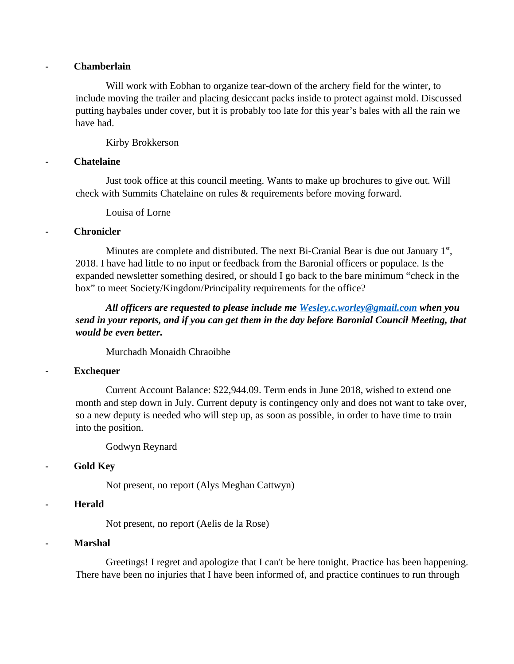#### **- Chamberlain**

Will work with Eobhan to organize tear-down of the archery field for the winter, to include moving the trailer and placing desiccant packs inside to protect against mold. Discussed putting haybales under cover, but it is probably too late for this year's bales with all the rain we have had.

#### Kirby Brokkerson

#### **- Chatelaine**

Just took office at this council meeting. Wants to make up brochures to give out. Will check with Summits Chatelaine on rules & requirements before moving forward.

Louisa of Lorne

#### **- Chronicler**

Minutes are complete and distributed. The next Bi-Cranial Bear is due out January  $1<sup>st</sup>$ , 2018. I have had little to no input or feedback from the Baronial officers or populace. Is the expanded newsletter something desired, or should I go back to the bare minimum "check in the box" to meet Society/Kingdom/Principality requirements for the office?

*All officers are requested to please include me [Wesley.c.worley@gmail.com](mailto:Wesley.c.worley@gmail.com) when you send in your reports, and if you can get them in the day before Baronial Council Meeting, that would be even better.* 

Murchadh Monaidh Chraoibhe

### **- Exchequer**

Current Account Balance: \$22,944.09. Term ends in June 2018, wished to extend one month and step down in July. Current deputy is contingency only and does not want to take over, so a new deputy is needed who will step up, as soon as possible, in order to have time to train into the position.

Godwyn Reynard

### **- Gold Key**

Not present, no report (Alys Meghan Cattwyn)

#### **- Herald**

Not present, no report (Aelis de la Rose)

#### **- Marshal**

Greetings! I regret and apologize that I can't be here tonight. Practice has been happening. There have been no injuries that I have been informed of, and practice continues to run through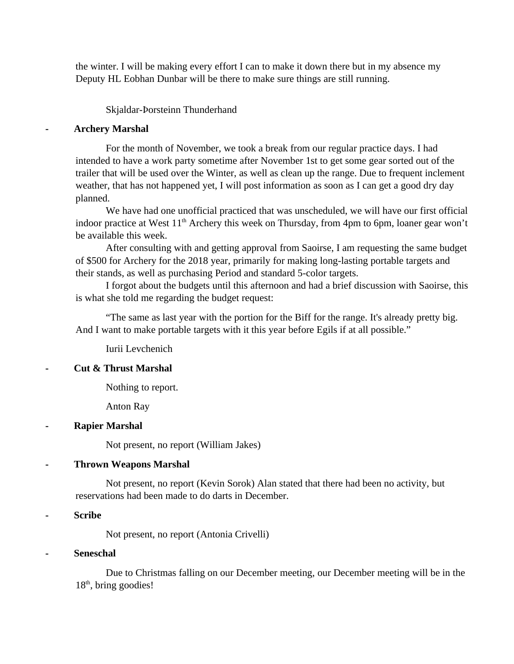the winter. I will be making every effort I can to make it down there but in my absence my Deputy HL Eobhan Dunbar will be there to make sure things are still running.

Skjaldar-Þorsteinn Thunderhand

#### **- Archery Marshal**

For the month of November, we took a break from our regular practice days. I had intended to have a work party sometime after November 1st to get some gear sorted out of the trailer that will be used over the Winter, as well as clean up the range. Due to frequent inclement weather, that has not happened yet, I will post information as soon as I can get a good dry day planned.

We have had one unofficial practiced that was unscheduled, we will have our first official indoor practice at West  $11<sup>th</sup>$  Archery this week on Thursday, from 4pm to 6pm, loaner gear won't be available this week.

After consulting with and getting approval from Saoirse, I am requesting the same budget of \$500 for Archery for the 2018 year, primarily for making long-lasting portable targets and their stands, as well as purchasing Period and standard 5-color targets.

I forgot about the budgets until this afternoon and had a brief discussion with Saoirse, this is what she told me regarding the budget request:

"The same as last year with the portion for the Biff for the range. It's already pretty big. And I want to make portable targets with it this year before Egils if at all possible."

Iurii Levchenich

#### **- Cut & Thrust Marshal**

Nothing to report.

Anton Ray

#### **- Rapier Marshal**

Not present, no report (William Jakes)

#### **- Thrown Weapons Marshal**

Not present, no report (Kevin Sorok) Alan stated that there had been no activity, but reservations had been made to do darts in December.

#### **- Scribe**

Not present, no report (Antonia Crivelli)

#### **- Seneschal**

Due to Christmas falling on our December meeting, our December meeting will be in the  $18<sup>th</sup>$ , bring goodies!